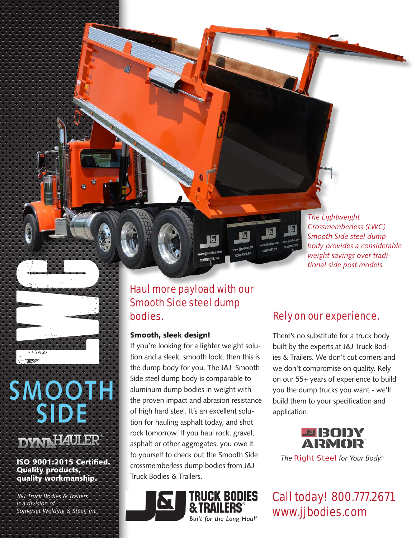

## Haul more payload with our Smooth Side steel dump bodies.

### Smooth, sleek design!

If you're looking for a lighter weight solution and a sleek, smooth look, then this is the dump body for you. The J&J Smooth Side steel dump body is comparable to aluminum dump bodies in weight with the proven impact and abrasion resistance of high hard steel. It's an excellent solution for hauling asphalt today, and shot rock tomorrow. If you haul rock, gravel, asphalt or other aggregates, you owe it to yourself to check out the Smooth Side crossmemberless dump bodies from J&J Truck Bodies & Trailers.

TRUCK BODIES

Built for the Long Haul®

## Rely on our experience.

There's no substitute for a truck body built by the experts at J&J Truck Bodies & Trailers. We don't cut corners and we don't compromise on quality. Rely on our 55+ years of experience to build you the dump trucks you want - we'll build them to your specification and application.



*The Right Steel for Your Body.*

Call today! 800.777.2671 www.jjbodies.com

**SMOOTH**

**SIDE**

ISO 9001:2015 Certified. Quality products, quality workmanship. **Somerset Welding & Steel, Inc.**<br>
Somerset Welding & Steel, Inc.<br>
Somerset Welding & Steel, Inc.

*J&J Truck Bodies & Trailers is a division of*